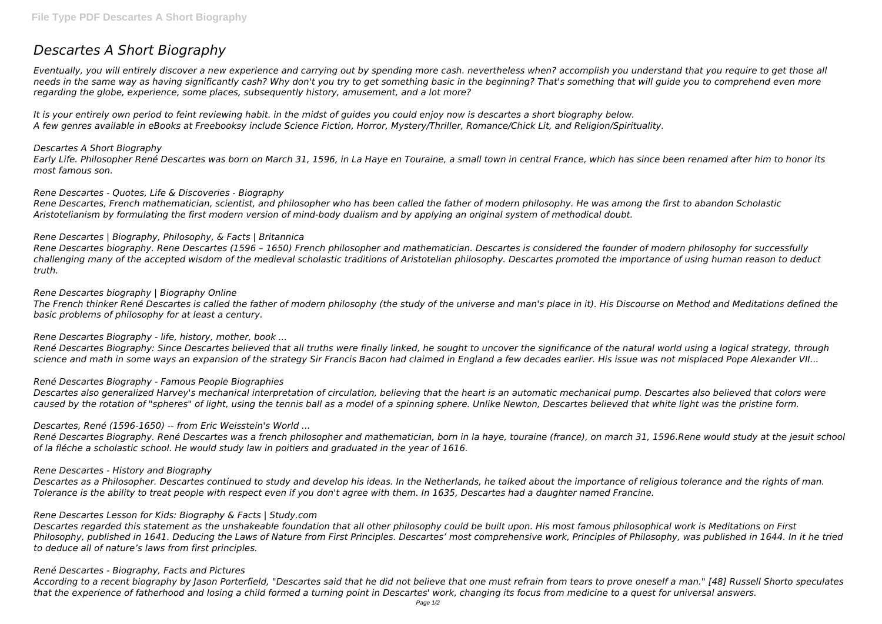# *Descartes A Short Biography*

*Eventually, you will entirely discover a new experience and carrying out by spending more cash. nevertheless when? accomplish you understand that you require to get those all needs in the same way as having significantly cash? Why don't you try to get something basic in the beginning? That's something that will guide you to comprehend even more regarding the globe, experience, some places, subsequently history, amusement, and a lot more?*

It is your entirely own period to feint reviewing habit. in the midst of guides you could enjoy now is descartes a short biography below. *A few genres available in eBooks at Freebooksy include Science Fiction, Horror, Mystery/Thriller, Romance/Chick Lit, and Religion/Spirituality.*

# *Descartes A Short Biography*

*Early Life. Philosopher René Descartes was born on March 31, 1596, in La Haye en Touraine, a small town in central France, which has since been renamed after him to honor its most famous son.*

# *Rene Descartes - Quotes, Life & Discoveries - Biography*

*Rene Descartes, French mathematician, scientist, and philosopher who has been called the father of modern philosophy. He was among the first to abandon Scholastic Aristotelianism by formulating the first modern version of mind-body dualism and by applying an original system of methodical doubt.*

# *Rene Descartes | Biography, Philosophy, & Facts | Britannica*

*Rene Descartes biography. Rene Descartes (1596 – 1650) French philosopher and mathematician. Descartes is considered the founder of modern philosophy for successfully challenging many of the accepted wisdom of the medieval scholastic traditions of Aristotelian philosophy. Descartes promoted the importance of using human reason to deduct truth.*

# *Rene Descartes biography | Biography Online*

*The French thinker René Descartes is called the father of modern philosophy (the study of the universe and man's place in it). His Discourse on Method and Meditations defined the basic problems of philosophy for at least a century.*

*Rene Descartes Biography - life, history, mother, book ...*

*René Descartes Biography: Since Descartes believed that all truths were finally linked, he sought to uncover the significance of the natural world using a logical strategy, through science and math in some ways an expansion of the strategy Sir Francis Bacon had claimed in England a few decades earlier. His issue was not misplaced Pope Alexander VII...*

# *René Descartes Biography - Famous People Biographies*

*Descartes also generalized Harvey's mechanical interpretation of circulation, believing that the heart is an automatic mechanical pump. Descartes also believed that colors were caused by the rotation of "spheres" of light, using the tennis ball as a model of a spinning sphere. Unlike Newton, Descartes believed that white light was the pristine form.*

# *Descartes, René (1596-1650) -- from Eric Weisstein's World ...*

*René Descartes Biography. René Descartes was a french philosopher and mathematician, born in la haye, touraine (france), on march 31, 1596.Rene would study at the jesuit school of la fléche a scholastic school. He would study law in poitiers and graduated in the year of 1616.*

# *Rene Descartes - History and Biography*

*Descartes as a Philosopher. Descartes continued to study and develop his ideas. In the Netherlands, he talked about the importance of religious tolerance and the rights of man. Tolerance is the ability to treat people with respect even if you don't agree with them. In 1635, Descartes had a daughter named Francine.*

# *Rene Descartes Lesson for Kids: Biography & Facts | Study.com*

*Descartes regarded this statement as the unshakeable foundation that all other philosophy could be built upon. His most famous philosophical work is Meditations on First Philosophy, published in 1641. Deducing the Laws of Nature from First Principles. Descartes' most comprehensive work, Principles of Philosophy, was published in 1644. In it he tried to deduce all of nature's laws from first principles.*

# *René Descartes - Biography, Facts and Pictures*

*According to a recent biography by Jason Porterfield, "Descartes said that he did not believe that one must refrain from tears to prove oneself a man." [48] Russell Shorto speculates that the experience of fatherhood and losing a child formed a turning point in Descartes' work, changing its focus from medicine to a quest for universal answers.*